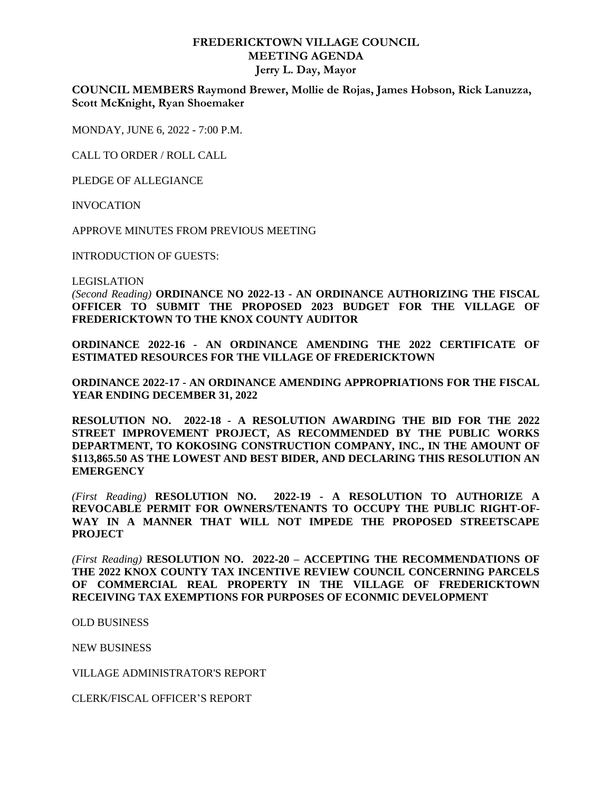## **FREDERICKTOWN VILLAGE COUNCIL MEETING AGENDA Jerry L. Day, Mayor**

**COUNCIL MEMBERS Raymond Brewer, Mollie de Rojas, James Hobson, Rick Lanuzza, Scott McKnight, Ryan Shoemaker**

MONDAY, JUNE 6, 2022 - 7:00 P.M.

CALL TO ORDER / ROLL CALL

PLEDGE OF ALLEGIANCE

INVOCATION

APPROVE MINUTES FROM PREVIOUS MEETING

INTRODUCTION OF GUESTS:

LEGISLATION

*(Second Reading)* **ORDINANCE NO 2022-13 - AN ORDINANCE AUTHORIZING THE FISCAL OFFICER TO SUBMIT THE PROPOSED 2023 BUDGET FOR THE VILLAGE OF FREDERICKTOWN TO THE KNOX COUNTY AUDITOR**

**ORDINANCE 2022-16 - AN ORDINANCE AMENDING THE 2022 CERTIFICATE OF ESTIMATED RESOURCES FOR THE VILLAGE OF FREDERICKTOWN**

**ORDINANCE 2022-17 - AN ORDINANCE AMENDING APPROPRIATIONS FOR THE FISCAL YEAR ENDING DECEMBER 31, 2022**

**RESOLUTION NO. 2022-18 - A RESOLUTION AWARDING THE BID FOR THE 2022 STREET IMPROVEMENT PROJECT, AS RECOMMENDED BY THE PUBLIC WORKS DEPARTMENT, TO KOKOSING CONSTRUCTION COMPANY, INC., IN THE AMOUNT OF \$113,865.50 AS THE LOWEST AND BEST BIDER, AND DECLARING THIS RESOLUTION AN EMERGENCY**

*(First Reading)* **RESOLUTION NO. 2022-19 - A RESOLUTION TO AUTHORIZE A REVOCABLE PERMIT FOR OWNERS/TENANTS TO OCCUPY THE PUBLIC RIGHT-OF-WAY IN A MANNER THAT WILL NOT IMPEDE THE PROPOSED STREETSCAPE PROJECT**

*(First Reading)* **RESOLUTION NO. 2022-20 – ACCEPTING THE RECOMMENDATIONS OF THE 2022 KNOX COUNTY TAX INCENTIVE REVIEW COUNCIL CONCERNING PARCELS OF COMMERCIAL REAL PROPERTY IN THE VILLAGE OF FREDERICKTOWN RECEIVING TAX EXEMPTIONS FOR PURPOSES OF ECONMIC DEVELOPMENT**

OLD BUSINESS

NEW BUSINESS

VILLAGE ADMINISTRATOR'S REPORT

CLERK/FISCAL OFFICER'S REPORT